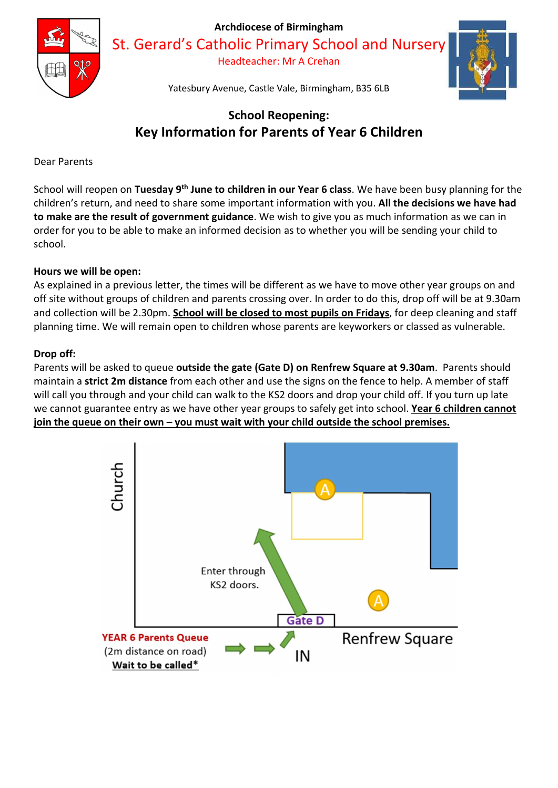

Archdiocese of Birmingham

St. Gerard's Catholic Primary School and Nursery

Headteacher: Mr A Crehan



Yatesbury Avenue, Castle Vale, Birmingham, B35 6LB

# School Reopening: Key Information for Parents of Year 6 Children

Dear Parents

School will reopen on Tuesday 9<sup>th</sup> June to children in our Year 6 class. We have been busy planning for the children's return, and need to share some important information with you. All the decisions we have had to make are the result of government guidance. We wish to give you as much information as we can in order for you to be able to make an informed decision as to whether you will be sending your child to school.

## Hours we will be open:

As explained in a previous letter, the times will be different as we have to move other year groups on and off site without groups of children and parents crossing over. In order to do this, drop off will be at 9.30am and collection will be 2.30pm. School will be closed to most pupils on Fridays, for deep cleaning and staff planning time. We will remain open to children whose parents are keyworkers or classed as vulnerable.

## Drop off:

Parents will be asked to queue outside the gate (Gate D) on Renfrew Square at 9.30am. Parents should maintain a strict 2m distance from each other and use the signs on the fence to help. A member of staff will call you through and your child can walk to the KS2 doors and drop your child off. If you turn up late we cannot guarantee entry as we have other year groups to safely get into school. Year 6 children cannot join the queue on their own – you must wait with your child outside the school premises.

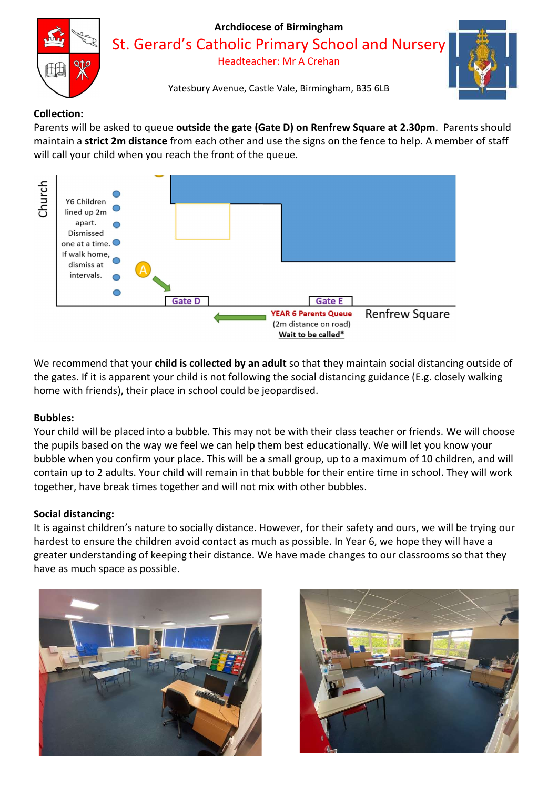

## Collection:

Parents will be asked to queue outside the gate (Gate D) on Renfrew Square at 2.30pm. Parents should maintain a **strict 2m distance** from each other and use the signs on the fence to help. A member of staff will call your child when you reach the front of the queue.



We recommend that your child is collected by an adult so that they maintain social distancing outside of the gates. If it is apparent your child is not following the social distancing guidance (E.g. closely walking home with friends), their place in school could be jeopardised.

### Bubbles:

Your child will be placed into a bubble. This may not be with their class teacher or friends. We will choose the pupils based on the way we feel we can help them best educationally. We will let you know your bubble when you confirm your place. This will be a small group, up to a maximum of 10 children, and will contain up to 2 adults. Your child will remain in that bubble for their entire time in school. They will work together, have break times together and will not mix with other bubbles.

### Social distancing:

It is against children's nature to socially distance. However, for their safety and ours, we will be trying our hardest to ensure the children avoid contact as much as possible. In Year 6, we hope they will have a greater understanding of keeping their distance. We have made changes to our classrooms so that they have as much space as possible.



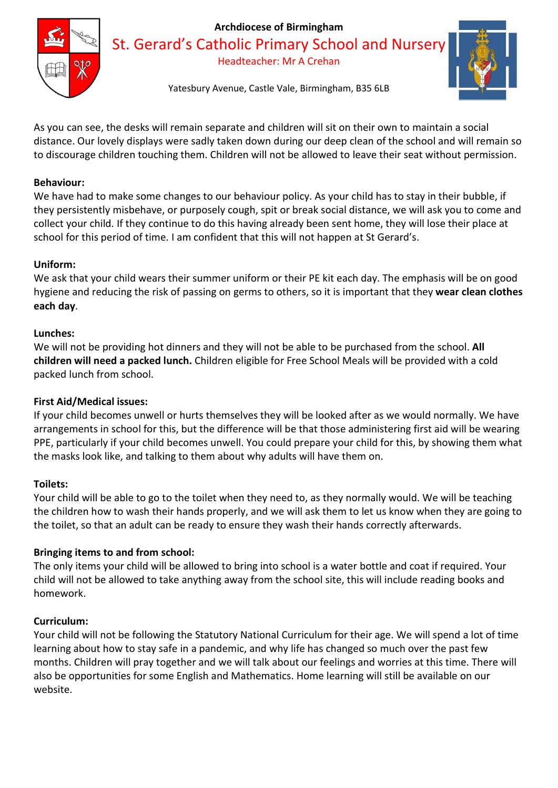

## Archdiocese of Birmingham

St. Gerard's Catholic Primary School and Nurser

Headteacher: Mr A Crehan



Yatesbury Avenue, Castle Vale, Birmingham, B35 6LB

As you can see, the desks will remain separate and children will sit on their own to maintain a social distance. Our lovely displays were sadly taken down during our deep clean of the school and will remain so to discourage children touching them. Children will not be allowed to leave their seat without permission.

## Behaviour:

We have had to make some changes to our behaviour policy. As your child has to stay in their bubble, if they persistently misbehave, or purposely cough, spit or break social distance, we will ask you to come and collect your child. If they continue to do this having already been sent home, they will lose their place at school for this period of time. I am confident that this will not happen at St Gerard's.

## Uniform:

We ask that your child wears their summer uniform or their PE kit each day. The emphasis will be on good hygiene and reducing the risk of passing on germs to others, so it is important that they wear clean clothes each day.

## Lunches:

We will not be providing hot dinners and they will not be able to be purchased from the school. All children will need a packed lunch. Children eligible for Free School Meals will be provided with a cold packed lunch from school.

### First Aid/Medical issues:

If your child becomes unwell or hurts themselves they will be looked after as we would normally. We have arrangements in school for this, but the difference will be that those administering first aid will be wearing PPE, particularly if your child becomes unwell. You could prepare your child for this, by showing them what the masks look like, and talking to them about why adults will have them on.

### Toilets:

Your child will be able to go to the toilet when they need to, as they normally would. We will be teaching the children how to wash their hands properly, and we will ask them to let us know when they are going to the toilet, so that an adult can be ready to ensure they wash their hands correctly afterwards.

### Bringing items to and from school:

The only items your child will be allowed to bring into school is a water bottle and coat if required. Your child will not be allowed to take anything away from the school site, this will include reading books and homework.

## Curriculum:

Your child will not be following the Statutory National Curriculum for their age. We will spend a lot of time learning about how to stay safe in a pandemic, and why life has changed so much over the past few months. Children will pray together and we will talk about our feelings and worries at this time. There will also be opportunities for some English and Mathematics. Home learning will still be available on our website.